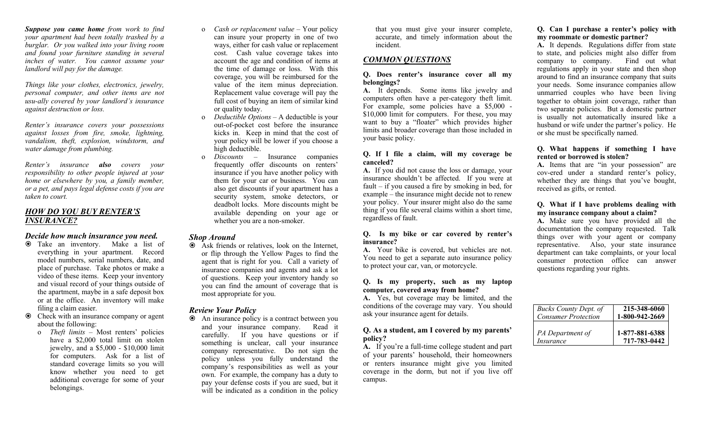*Suppose you came home from work to find your apartment had been totally trashed by a burglar. Or you walked into your living room and found your furniture standing in several inches of water. You cannot assume your landlord will pay for the damage.*

*Things like your clothes, electronics, jewelry, personal computer, and other items are not usu-ally covered by your landlord's insurance against destruction or loss.*

*Renter's insurance covers your possessions against losses from fire, smoke, lightning, vandalism, theft, explosion, windstorm, and water damage from plumbing.*

*Renter's insurance also covers your responsibility to other people injured at your home or elsewhere by you, a family member, or a pet, and pays legal defense costs if you are taken to court.*

# *HOW DO YOU BUY RENTER'S INSURANCE?*

## *Decide how much insurance you need.*

- Take an inventory. Make a list of everything in your apartment. Record model numbers, serial numbers, date, and place of purchase. Take photos or make a video of these items. Keep your inventory and visual record of your things outside of the apartment, maybe in a safe deposit box or at the office. An inventory will make filing a claim easier.
- Check with an insurance company or agent about the following:
	- o *Theft limits –* Most renters' policies have a \$2,000 total limit on stolen jewelry, and a \$5,000 - \$10,000 limit for computers. Ask for a list of standard coverage limits so you will know whether you need to get additional coverage for some of your belongings.
- o *Cash or replacement value –* Your policy can insure your property in one of two ways, either for cash value or replacement cost. Cash value coverage takes into account the age and condition of items at the time of damage or loss. With this coverage, you will be reimbursed for the value of the item minus depreciation. Replacement value coverage will pay the full cost of buying an item of similar kind or quality today.
- o *Deductible Options –* A deductible is your out-of-pocket cost before the insurance kicks in. Keep in mind that the cost of your policy will be lower if you choose a high deductible.
- o *Discounts –* Insurance companies frequently offer discounts on renters' insurance if you have another policy with them for your car or business. You can also get discounts if your apartment has a security system, smoke detectors, or deadbolt locks. More discounts might be available depending on your age or whether you are a non-smoker.

## *Shop Around*

 Ask friends or relatives, look on the Internet, or flip through the Yellow Pages to find the agent that is right for you. Call a variety of insurance companies and agents and ask a lot of questions. Keep your inventory handy so you can find the amount of coverage that is most appropriate for you.

# *Review Your Policy*

 An insurance policy is a contract between you and your insurance company. Read it carefully. If you have questions or if something is unclear, call your insurance company representative. Do not sign the policy unless you fully understand the company's responsibilities as well as your own. For example, the company has a duty to pay your defense costs if you are sued, but it will be indicated as a condition in the policy

that you must give your insurer complete, accurate, and timely information about the incident.

# *COMMON QUESTIONS*

#### **Q. Does renter's insurance cover all my belongings?**

**A.** It depends. Some items like jewelry and computers often have a per-category theft limit. For example, some policies have a \$5,000 - \$10,000 limit for computers. For these, you may want to buy a "floater" which provides higher limits and broader coverage than those included in your basic policy.

#### **Q. If I file a claim, will my coverage be canceled?**

**A.** If you did not cause the loss or damage, your insurance shouldn't be affected. If you were at fault – if you caused a fire by smoking in bed, for example – the insurance might decide not to renew your policy. Your insurer might also do the same thing if you file several claims within a short time, regardless of fault.

#### **Q. Is my bike or car covered by renter's insurance?**

**A.** Your bike is covered, but vehicles are not. You need to get a separate auto insurance policy to protect your car, van, or motorcycle.

#### **Q. Is my property, such as my laptop computer, covered away from home?**

**A.** Yes, but coverage may be limited, and the conditions of the coverage may vary. You should ask your insurance agent for details.

## **Q. As a student, am I covered by my parents' policy?**

**A.** If you're a full-time college student and part of your parents' household, their homeowners or renters insurance might give you limited coverage in the dorm, but not if you live off campus.

## **Q. Can I purchase a renter's policy with my roommate or domestic partner?**

**A.** It depends. Regulations differ from state to state, and policies might also differ from company to company. Find out what regulations apply in your state and then shop around to find an insurance company that suits your needs. Some insurance companies allow unmarried couples who have been living together to obtain joint coverage, rather than two separate policies. But a domestic partner is usually not automatically insured like a husband or wife under the partner's policy. He or she must be specifically named.

#### **Q. What happens if something I have rented or borrowed is stolen?**

**A.** Items that are "in your possession" are cov-ered under a standard renter's policy, whether they are things that you've bought, received as gifts, or rented.

#### **Q. What if I have problems dealing with my insurance company about a claim?**

**A.** Make sure you have provided all the documentation the company requested. Talk things over with your agent or company representative. Also, your state insurance department can take complaints, or your local consumer protection office can answer questions regarding your rights.

| <b>Bucks County Dept. of</b> | 215-348-6060   |
|------------------------------|----------------|
| Consumer Protection          | 1-800-942-2669 |
| PA Department of             | 1-877-881-6388 |
| Insurance                    | 717-783-0442   |